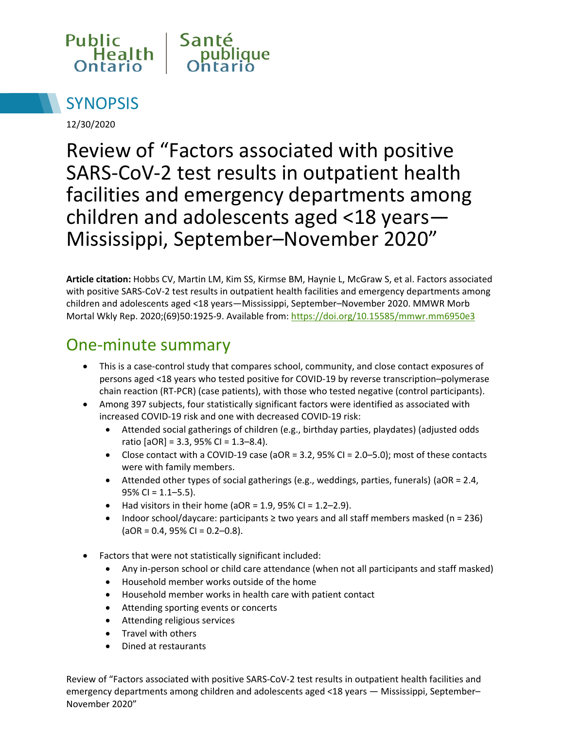



12/30/2020

Review of "Factors associated with positive SARS-CoV-2 test results in outpatient health facilities and emergency departments among children and adolescents aged <18 years— Mississippi, September–November 2020"

**Article citation:** Hobbs CV, Martin LM, Kim SS, Kirmse BM, Haynie L, McGraw S, et al. Factors associated with positive SARS-CoV-2 test results in outpatient health facilities and emergency departments among children and adolescents aged <18 years—Mississippi, September–November 2020. MMWR Morb Mortal Wkly Rep. 2020;(69)50:1925-9. Available from: https://doi.org/10.15585/mmwr.mm6950e3

#### One-minute summary

- This is a case-control study that compares school, community, and close contact exposures of persons aged <18 years who tested positive for COVID-19 by reverse transcription–polymerase chain reaction (RT-PCR) (case patients), with those who tested negative (control participants).
- Among 397 subjects, four statistically significant factors were identified as associated with increased COVID-19 risk and one with decreased COVID-19 risk:
	- Attended social gatherings of children (e.g., birthday parties, playdates) (adjusted odds ratio  $[aOR] = 3.3, 95\%$  CI = 1.3-8.4).
	- Close contact with a COVID-19 case (aOR = 3.2, 95% CI = 2.0–5.0); most of these contacts were with family members.
	- Attended other types of social gatherings (e.g., weddings, parties, funerals) (aOR = 2.4,  $95\%$  CI = 1.1–5.5).
	- Had visitors in their home (aOR =  $1.9$ ,  $95\%$  CI =  $1.2-2.9$ ).
	- Indoor school/daycare: participants ≥ two years and all staff members masked (n = 236)  $(aOR = 0.4, 95\% CI = 0.2 - 0.8).$
- Factors that were not statistically significant included:
	- Any in-person school or child care attendance (when not all participants and staff masked)
	- Household member works outside of the home
	- Household member works in health care with patient contact
	- Attending sporting events or concerts
	- Attending religious services
	- Travel with others
	- Dined at restaurants

Review of "Factors associated with positive SARS-CoV-2 test results in outpatient health facilities and emergency departments among children and adolescents aged <18 years — Mississippi, September– November 2020"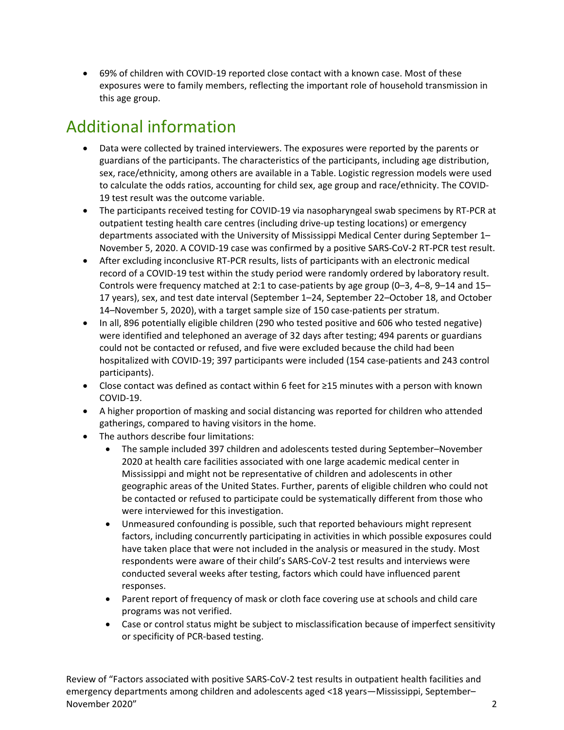• 69% of children with COVID-19 reported close contact with a known case. Most of these exposures were to family members, reflecting the important role of household transmission in this age group.

# Additional information

- Data were collected by trained interviewers. The exposures were reported by the parents or guardians of the participants. The characteristics of the participants, including age distribution, sex, race/ethnicity, among others are available in a Table. Logistic regression models were used to calculate the odds ratios, accounting for child sex, age group and race/ethnicity. The COVID-19 test result was the outcome variable.
- The participants received testing for COVID-19 via nasopharyngeal swab specimens by RT-PCR at outpatient testing health care centres (including drive-up testing locations) or emergency departments associated with the University of Mississippi Medical Center during September 1– November 5, 2020. A COVID-19 case was confirmed by a positive SARS-CoV-2 RT-PCR test result.
- After excluding inconclusive RT-PCR results, lists of participants with an electronic medical record of a COVID-19 test within the study period were randomly ordered by laboratory result. Controls were frequency matched at 2:1 to case-patients by age group (0–3, 4–8, 9–14 and 15– 17 years), sex, and test date interval (September 1–24, September 22–October 18, and October 14–November 5, 2020), with a target sample size of 150 case-patients per stratum.
- In all, 896 potentially eligible children (290 who tested positive and 606 who tested negative) were identified and telephoned an average of 32 days after testing; 494 parents or guardians could not be contacted or refused, and five were excluded because the child had been hospitalized with COVID-19; 397 participants were included (154 case-patients and 243 control participants).
- Close contact was defined as contact within 6 feet for ≥15 minutes with a person with known COVID-19.
- A higher proportion of masking and social distancing was reported for children who attended gatherings, compared to having visitors in the home.
- The authors describe four limitations:
	- The sample included 397 children and adolescents tested during September–November 2020 at health care facilities associated with one large academic medical center in Mississippi and might not be representative of children and adolescents in other geographic areas of the United States. Further, parents of eligible children who could not be contacted or refused to participate could be systematically different from those who were interviewed for this investigation.
	- Unmeasured confounding is possible, such that reported behaviours might represent factors, including concurrently participating in activities in which possible exposures could have taken place that were not included in the analysis or measured in the study. Most respondents were aware of their child's SARS-CoV-2 test results and interviews were conducted several weeks after testing, factors which could have influenced parent responses.
	- Parent report of frequency of mask or cloth face covering use at schools and child care programs was not verified.
	- Case or control status might be subject to misclassification because of imperfect sensitivity or specificity of PCR-based testing.

Review of "Factors associated with positive SARS-CoV-2 test results in outpatient health facilities and emergency departments among children and adolescents aged <18 years—Mississippi, September– November 2020" 2